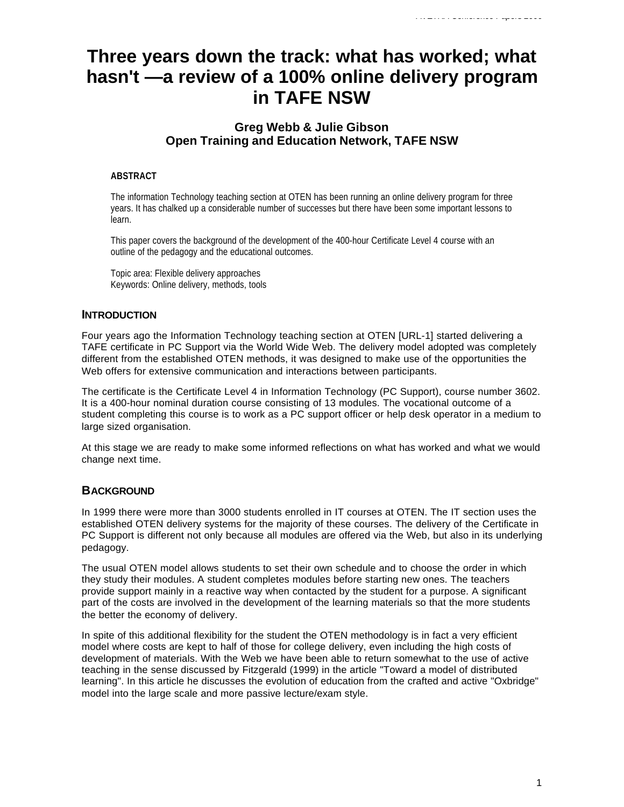# **Three years down the track: what has worked; what hasn't —a review of a 100% online delivery program in TAFE NSW**

# **Greg Webb & Julie Gibson Open Training and Education Network, TAFE NSW**

# **ABSTRACT**

The information Technology teaching section at OTEN has been running an online delivery program for three years. It has chalked up a considerable number of successes but there have been some important lessons to learn.

This paper covers the background of the development of the 400-hour Certificate Level 4 course with an outline of the pedagogy and the educational outcomes.

Topic area: Flexible delivery approaches Keywords: Online delivery, methods, tools

# **INTRODUCTION**

Four years ago the Information Technology teaching section at OTEN [URL-1] started delivering a TAFE certificate in PC Support via the World Wide Web. The delivery model adopted was completely different from the established OTEN methods, it was designed to make use of the opportunities the Web offers for extensive communication and interactions between participants.

The certificate is the Certificate Level 4 in Information Technology (PC Support), course number 3602. It is a 400-hour nominal duration course consisting of 13 modules. The vocational outcome of a student completing this course is to work as a PC support officer or help desk operator in a medium to large sized organisation.

At this stage we are ready to make some informed reflections on what has worked and what we would change next time.

# **BACKGROUND**

In 1999 there were more than 3000 students enrolled in IT courses at OTEN. The IT section uses the established OTEN delivery systems for the majority of these courses. The delivery of the Certificate in PC Support is different not only because all modules are offered via the Web, but also in its underlying pedagogy.

The usual OTEN model allows students to set their own schedule and to choose the order in which they study their modules. A student completes modules before starting new ones. The teachers provide support mainly in a reactive way when contacted by the student for a purpose. A significant part of the costs are involved in the development of the learning materials so that the more students the better the economy of delivery.

In spite of this additional flexibility for the student the OTEN methodology is in fact a very efficient model where costs are kept to half of those for college delivery, even including the high costs of development of materials. With the Web we have been able to return somewhat to the use of active teaching in the sense discussed by Fitzgerald (1999) in the article "Toward a model of distributed learning". In this article he discusses the evolution of education from the crafted and active "Oxbridge" model into the large scale and more passive lecture/exam style.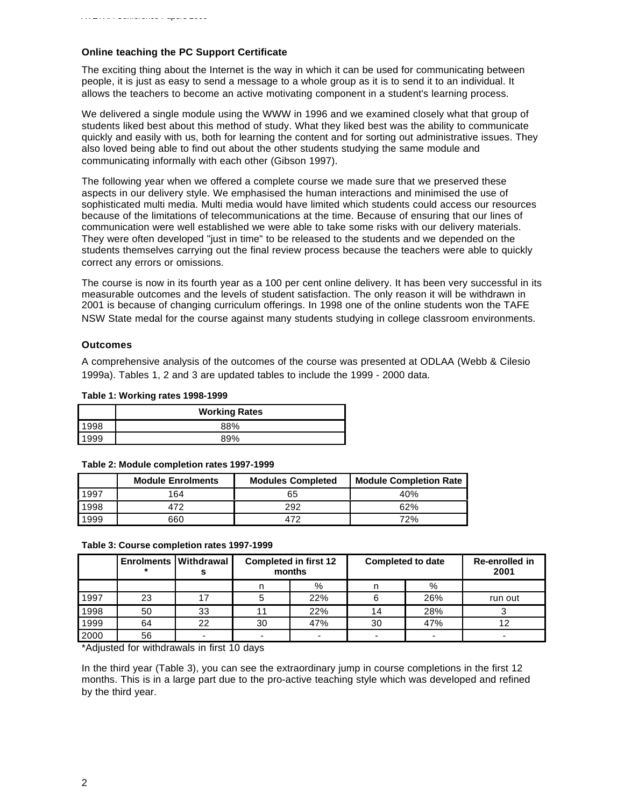## **Online teaching the PC Support Certificate**

The exciting thing about the Internet is the way in which it can be used for communicating between people, it is just as easy to send a message to a whole group as it is to send it to an individual. It allows the teachers to become an active motivating component in a student's learning process.

We delivered a single module using the WWW in 1996 and we examined closely what that group of students liked best about this method of study. What they liked best was the ability to communicate quickly and easily with us, both for learning the content and for sorting out administrative issues. They also loved being able to find out about the other students studying the same module and communicating informally with each other (Gibson 1997).

The following year when we offered a complete course we made sure that we preserved these aspects in our delivery style. We emphasised the human interactions and minimised the use of sophisticated multi media. Multi media would have limited which students could access our resources because of the limitations of telecommunications at the time. Because of ensuring that our lines of communication were well established we were able to take some risks with our delivery materials. They were often developed "just in time" to be released to the students and we depended on the students themselves carrying out the final review process because the teachers were able to quickly correct any errors or omissions.

The course is now in its fourth year as a 100 per cent online delivery. It has been very successful in its measurable outcomes and the levels of student satisfaction. The only reason it will be withdrawn in 2001 is because of changing curriculum offerings. In 1998 one of the online students won the TAFE NSW State medal for the course against many students studying in college classroom environments.

## **Outcomes**

A comprehensive analysis of the outcomes of the course was presented at ODLAA (Webb & Cilesio 1999a). Tables 1, 2 and 3 are updated tables to include the 1999 - 2000 data.

#### **Table 1: Working rates 1998-1999**

| <b>Working Rates</b> |     |  |  |  |
|----------------------|-----|--|--|--|
| 1998                 | 88% |  |  |  |
| 1999                 | 89% |  |  |  |

#### **Table 2: Module completion rates 1997-1999**

|      | <b>Module Enrolments</b> | <b>Modules Completed</b> | <b>Module Completion Rate</b> |
|------|--------------------------|--------------------------|-------------------------------|
| 1997 | 164                      | 65                       | 40%                           |
| 1998 | 172                      | 292                      | 62%                           |
| 1999 | 660                      | 472                      | 72%                           |

#### **Table 3: Course completion rates 1997-1999**

|      | <b>Enrolments   Withdrawal</b> |    | <b>Completed in first 12</b><br>months |     | <b>Completed to date</b> |     |         | Re-enrolled in<br>2001 |
|------|--------------------------------|----|----------------------------------------|-----|--------------------------|-----|---------|------------------------|
|      |                                |    |                                        | %   |                          | %   |         |                        |
| 1997 | 23                             |    |                                        | 22% |                          | 26% | run out |                        |
| 1998 | 50                             | 33 |                                        | 22% | 14                       | 28% |         |                        |
| 1999 | 64                             | 22 | 30                                     | 47% | 30                       | 47% |         |                        |
| 2000 | 56                             |    |                                        |     |                          |     |         |                        |

\*Adjusted for withdrawals in first 10 days

In the third year (Table 3), you can see the extraordinary jump in course completions in the first 12 months. This is in a large part due to the pro-active teaching style which was developed and refined by the third year.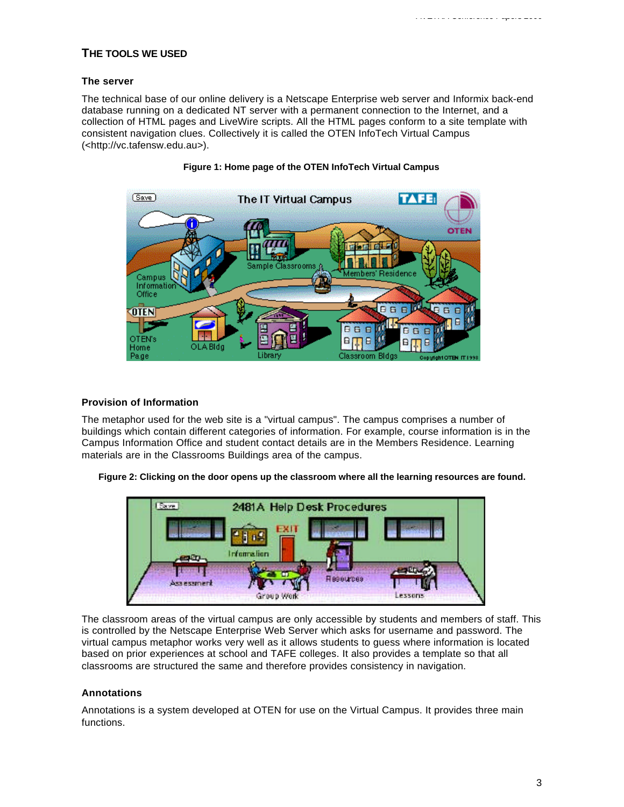# **THE TOOLS WE USED**

## **The server**

The technical base of our online delivery is a Netscape Enterprise web server and Informix back-end database running on a dedicated NT server with a permanent connection to the Internet, and a collection of HTML pages and LiveWire scripts. All the HTML pages conform to a site template with consistent navigation clues. Collectively it is called the OTEN InfoTech Virtual Campus (<http://vc.tafensw.edu.au>).



# **Figure 1: Home page of the OTEN InfoTech Virtual Campus**

#### **Provision of Information**

The metaphor used for the web site is a "virtual campus". The campus comprises a number of buildings which contain different categories of information. For example, course information is in the Campus Information Office and student contact details are in the Members Residence. Learning materials are in the Classrooms Buildings area of the campus.

**Figure 2: Clicking on the door opens up the classroom where all the learning resources are found.**



The classroom areas of the virtual campus are only accessible by students and members of staff. This is controlled by the Netscape Enterprise Web Server which asks for username and password. The virtual campus metaphor works very well as it allows students to guess where information is located based on prior experiences at school and TAFE colleges. It also provides a template so that all classrooms are structured the same and therefore provides consistency in navigation.

## **Annotations**

Annotations is a system developed at OTEN for use on the Virtual Campus. It provides three main functions.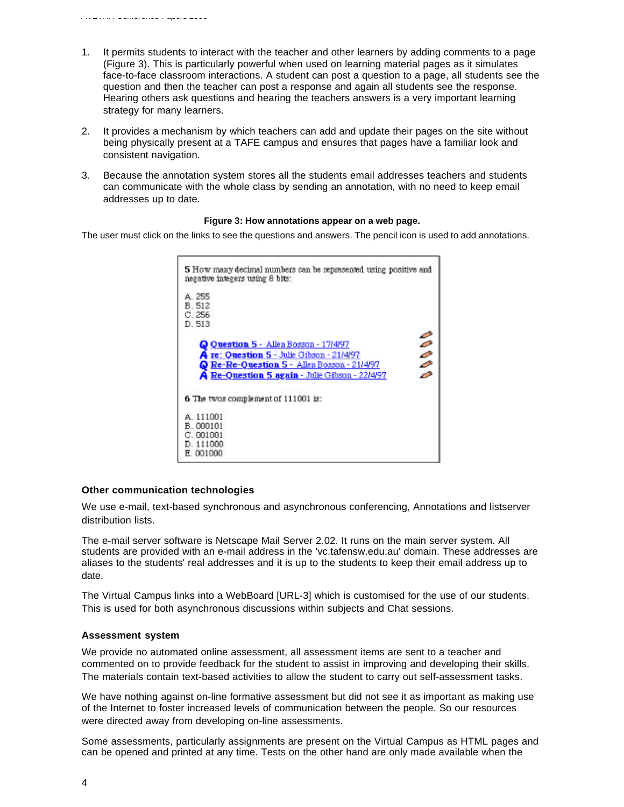- 1. It permits students to interact with the teacher and other learners by adding comments to a page (Figure 3). This is particularly powerful when used on learning material pages as it simulates face-to-face classroom interactions. A student can post a question to a page, all students see the question and then the teacher can post a response and again all students see the response. Hearing others ask questions and hearing the teachers answers is a very important learning strategy for many learners.
- 2. It provides a mechanism by which teachers can add and update their pages on the site without being physically present at a TAFE campus and ensures that pages have a familiar look and consistent navigation.
- 3. Because the annotation system stores all the students email addresses teachers and students can communicate with the whole class by sending an annotation, with no need to keep email addresses up to date.

#### **Figure 3: How annotations appear on a web page.**

The user must click on the links to see the questions and answers. The pencil icon is used to add annotations.

| 5 How many decimal numbers can be represented using positive and<br>negative integers using 8 bits:                                                                                             |                               |
|-------------------------------------------------------------------------------------------------------------------------------------------------------------------------------------------------|-------------------------------|
| A. 255<br>B. 512<br>C.256<br>D. 513                                                                                                                                                             |                               |
| O Question 5 - Allen Bosson - 17/4/97<br><b>A</b> re: Ouestion 5 - Julie Gibson - 21/4/97<br>Re-Re-Question 5 - Allen Bosson - 21/4/97<br><b>A Re-Ouestion 5 again - Julie Gibson - 22/4/97</b> | Ъ<br>$\overline{\mathcal{E}}$ |
| 6 The twos complement of 111001 is:                                                                                                                                                             |                               |
| A 111001<br>B.000101<br>C.001001<br>D. 111000<br>E.001000                                                                                                                                       |                               |

#### **Other communication technologies**

We use e-mail, text-based synchronous and asynchronous conferencing, Annotations and listserver distribution lists.

The e-mail server software is Netscape Mail Server 2.02. It runs on the main server system. All students are provided with an e-mail address in the 'vc.tafensw.edu.au' domain. These addresses are aliases to the students' real addresses and it is up to the students to keep their email address up to date.

The Virtual Campus links into a WebBoard [URL-3] which is customised for the use of our students. This is used for both asynchronous discussions within subjects and Chat sessions.

#### **Assessment system**

We provide no automated online assessment, all assessment items are sent to a teacher and commented on to provide feedback for the student to assist in improving and developing their skills. The materials contain text-based activities to allow the student to carry out self-assessment tasks.

We have nothing against on-line formative assessment but did not see it as important as making use of the Internet to foster increased levels of communication between the people. So our resources were directed away from developing on-line assessments.

Some assessments, particularly assignments are present on the Virtual Campus as HTML pages and can be opened and printed at any time. Tests on the other hand are only made available when the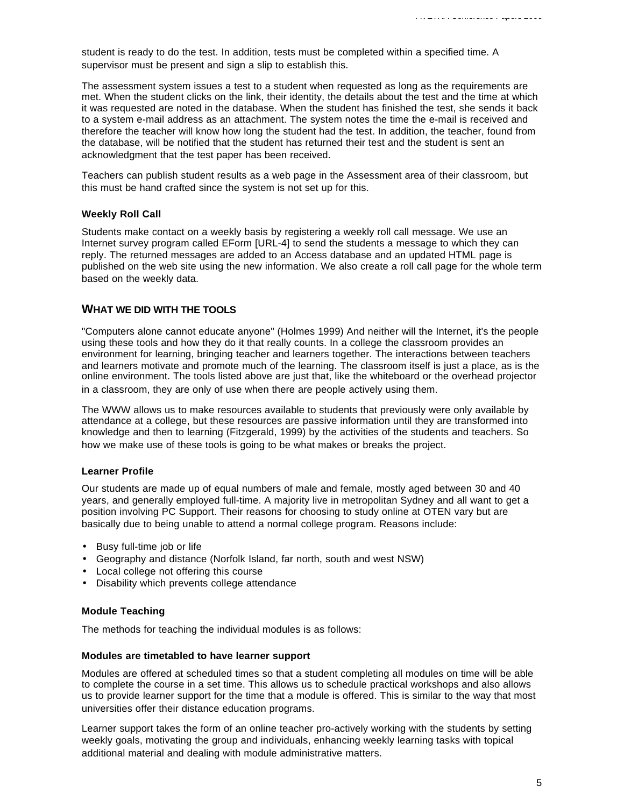student is ready to do the test. In addition, tests must be completed within a specified time. A supervisor must be present and sign a slip to establish this.

The assessment system issues a test to a student when requested as long as the requirements are met. When the student clicks on the link, their identity, the details about the test and the time at which it was requested are noted in the database. When the student has finished the test, she sends it back to a system e-mail address as an attachment. The system notes the time the e-mail is received and therefore the teacher will know how long the student had the test. In addition, the teacher, found from the database, will be notified that the student has returned their test and the student is sent an acknowledgment that the test paper has been received.

Teachers can publish student results as a web page in the Assessment area of their classroom, but this must be hand crafted since the system is not set up for this.

#### **Weekly Roll Call**

Students make contact on a weekly basis by registering a weekly roll call message. We use an Internet survey program called EForm [URL-4] to send the students a message to which they can reply. The returned messages are added to an Access database and an updated HTML page is published on the web site using the new information. We also create a roll call page for the whole term based on the weekly data.

## **WHAT WE DID WITH THE TOOLS**

"Computers alone cannot educate anyone" (Holmes 1999) And neither will the Internet, it's the people using these tools and how they do it that really counts. In a college the classroom provides an environment for learning, bringing teacher and learners together. The interactions between teachers and learners motivate and promote much of the learning. The classroom itself is just a place, as is the online environment. The tools listed above are just that, like the whiteboard or the overhead projector in a classroom, they are only of use when there are people actively using them.

The WWW allows us to make resources available to students that previously were only available by attendance at a college, but these resources are passive information until they are transformed into knowledge and then to learning (Fitzgerald, 1999) by the activities of the students and teachers. So how we make use of these tools is going to be what makes or breaks the project.

#### **Learner Profile**

Our students are made up of equal numbers of male and female, mostly aged between 30 and 40 years, and generally employed full-time. A majority live in metropolitan Sydney and all want to get a position involving PC Support. Their reasons for choosing to study online at OTEN vary but are basically due to being unable to attend a normal college program. Reasons include:

- Busy full-time job or life
- Geography and distance (Norfolk Island, far north, south and west NSW)
- Local college not offering this course
- Disability which prevents college attendance

## **Module Teaching**

The methods for teaching the individual modules is as follows:

#### **Modules are timetabled to have learner support**

Modules are offered at scheduled times so that a student completing all modules on time will be able to complete the course in a set time. This allows us to schedule practical workshops and also allows us to provide learner support for the time that a module is offered. This is similar to the way that most universities offer their distance education programs.

Learner support takes the form of an online teacher pro-actively working with the students by setting weekly goals, motivating the group and individuals, enhancing weekly learning tasks with topical additional material and dealing with module administrative matters.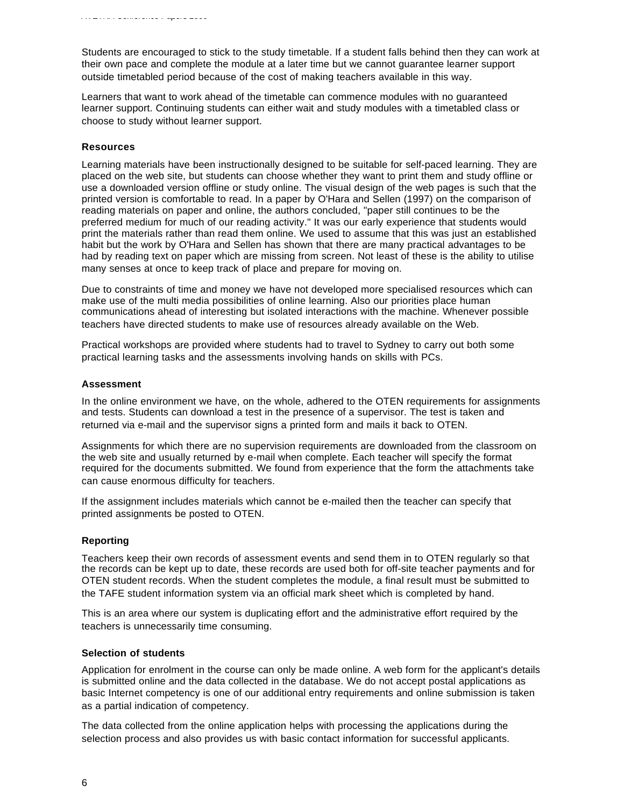Students are encouraged to stick to the study timetable. If a student falls behind then they can work at their own pace and complete the module at a later time but we cannot guarantee learner support outside timetabled period because of the cost of making teachers available in this way.

Learners that want to work ahead of the timetable can commence modules with no guaranteed learner support. Continuing students can either wait and study modules with a timetabled class or choose to study without learner support.

#### **Resources**

Learning materials have been instructionally designed to be suitable for self-paced learning. They are placed on the web site, but students can choose whether they want to print them and study offline or use a downloaded version offline or study online. The visual design of the web pages is such that the printed version is comfortable to read. In a paper by O'Hara and Sellen (1997) on the comparison of reading materials on paper and online, the authors concluded, "paper still continues to be the preferred medium for much of our reading activity." It was our early experience that students would print the materials rather than read them online. We used to assume that this was just an established habit but the work by O'Hara and Sellen has shown that there are many practical advantages to be had by reading text on paper which are missing from screen. Not least of these is the ability to utilise many senses at once to keep track of place and prepare for moving on.

Due to constraints of time and money we have not developed more specialised resources which can make use of the multi media possibilities of online learning. Also our priorities place human communications ahead of interesting but isolated interactions with the machine. Whenever possible teachers have directed students to make use of resources already available on the Web.

Practical workshops are provided where students had to travel to Sydney to carry out both some practical learning tasks and the assessments involving hands on skills with PCs.

#### **Assessment**

In the online environment we have, on the whole, adhered to the OTEN requirements for assignments and tests. Students can download a test in the presence of a supervisor. The test is taken and returned via e-mail and the supervisor signs a printed form and mails it back to OTEN.

Assignments for which there are no supervision requirements are downloaded from the classroom on the web site and usually returned by e-mail when complete. Each teacher will specify the format required for the documents submitted. We found from experience that the form the attachments take can cause enormous difficulty for teachers.

If the assignment includes materials which cannot be e-mailed then the teacher can specify that printed assignments be posted to OTEN.

#### **Reporting**

Teachers keep their own records of assessment events and send them in to OTEN regularly so that the records can be kept up to date, these records are used both for off-site teacher payments and for OTEN student records. When the student completes the module, a final result must be submitted to the TAFE student information system via an official mark sheet which is completed by hand.

This is an area where our system is duplicating effort and the administrative effort required by the teachers is unnecessarily time consuming.

#### **Selection of students**

Application for enrolment in the course can only be made online. A web form for the applicant's details is submitted online and the data collected in the database. We do not accept postal applications as basic Internet competency is one of our additional entry requirements and online submission is taken as a partial indication of competency.

The data collected from the online application helps with processing the applications during the selection process and also provides us with basic contact information for successful applicants.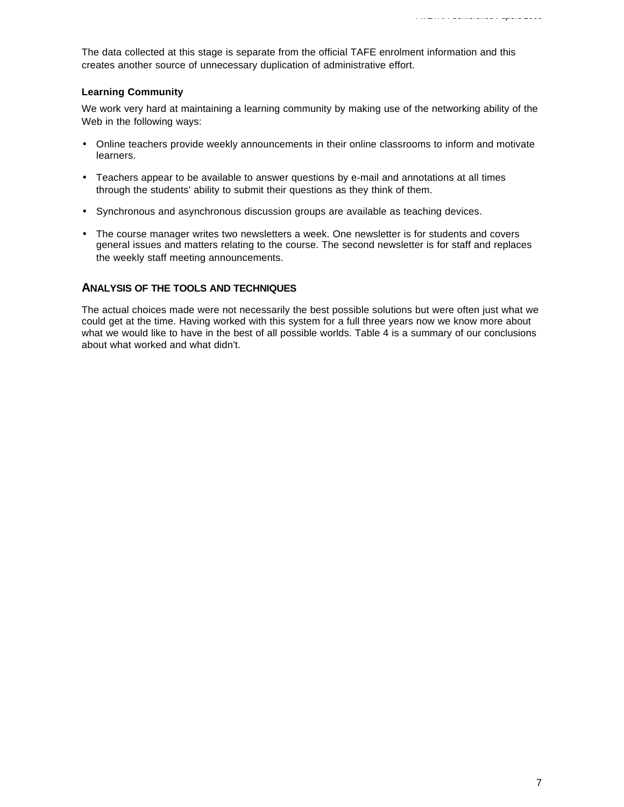The data collected at this stage is separate from the official TAFE enrolment information and this creates another source of unnecessary duplication of administrative effort.

## **Learning Community**

We work very hard at maintaining a learning community by making use of the networking ability of the Web in the following ways:

- Online teachers provide weekly announcements in their online classrooms to inform and motivate learners.
- Teachers appear to be available to answer questions by e-mail and annotations at all times through the students' ability to submit their questions as they think of them.
- Synchronous and asynchronous discussion groups are available as teaching devices.
- The course manager writes two newsletters a week. One newsletter is for students and covers general issues and matters relating to the course. The second newsletter is for staff and replaces the weekly staff meeting announcements.

# **ANALYSIS OF THE TOOLS AND TECHNIQUES**

The actual choices made were not necessarily the best possible solutions but were often just what we could get at the time. Having worked with this system for a full three years now we know more about what we would like to have in the best of all possible worlds. Table 4 is a summary of our conclusions about what worked and what didn't.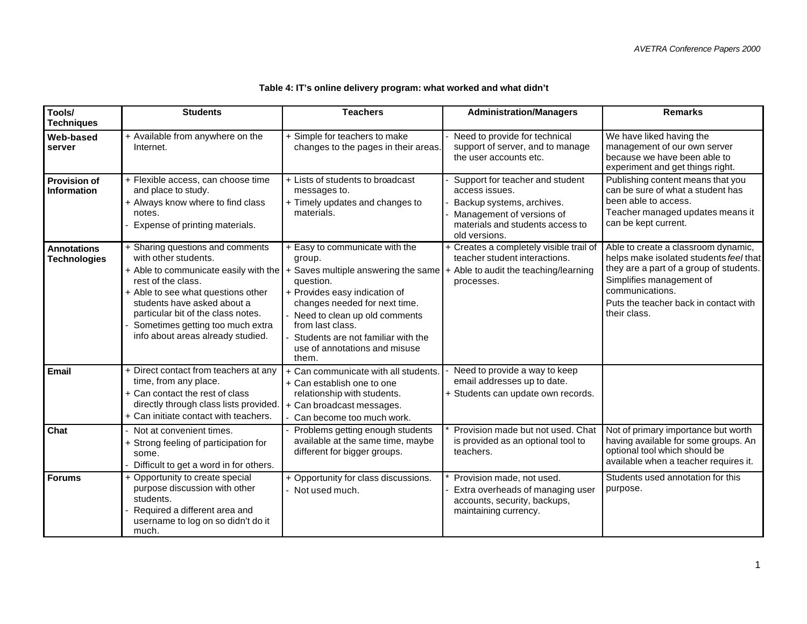| Tools/<br><b>Techniques</b>               | <b>Students</b>                                                                                                                                                                                                                                                    | <b>Teachers</b>                                                                                                                                                                                                                                                                                                                                | <b>Administration/Managers</b>                                                                                                                                   | <b>Remarks</b>                                                                                                                                                                                                                   |
|-------------------------------------------|--------------------------------------------------------------------------------------------------------------------------------------------------------------------------------------------------------------------------------------------------------------------|------------------------------------------------------------------------------------------------------------------------------------------------------------------------------------------------------------------------------------------------------------------------------------------------------------------------------------------------|------------------------------------------------------------------------------------------------------------------------------------------------------------------|----------------------------------------------------------------------------------------------------------------------------------------------------------------------------------------------------------------------------------|
| <b>Web-based</b><br>server                | + Available from anywhere on the<br>Internet.                                                                                                                                                                                                                      | + Simple for teachers to make<br>changes to the pages in their areas.                                                                                                                                                                                                                                                                          | Need to provide for technical<br>support of server, and to manage<br>the user accounts etc.                                                                      | We have liked having the<br>management of our own server<br>because we have been able to<br>experiment and get things right.                                                                                                     |
| <b>Provision of</b><br><b>Information</b> | + Flexible access, can choose time<br>and place to study.<br>+ Always know where to find class<br>notes.<br>Expense of printing materials.                                                                                                                         | + Lists of students to broadcast<br>messages to.<br>+ Timely updates and changes to<br>materials.                                                                                                                                                                                                                                              | Support for teacher and student<br>access issues.<br>Backup systems, archives.<br>Management of versions of<br>materials and students access to<br>old versions. | Publishing content means that you<br>can be sure of what a student has<br>been able to access.<br>Teacher managed updates means it<br>can be kept current.                                                                       |
| <b>Annotations</b><br><b>Technologies</b> | + Sharing questions and comments<br>with other students.<br>rest of the class.<br>+ Able to see what questions other<br>students have asked about a<br>particular bit of the class notes.<br>Sometimes getting too much extra<br>info about areas already studied. | + Easy to communicate with the<br>group.<br>$+$ Able to communicate easily with the $ +$ Saves multiple answering the same<br>question.<br>+ Provides easy indication of<br>changes needed for next time.<br>Need to clean up old comments<br>from last class.<br>Students are not familiar with the<br>use of annotations and misuse<br>them. | + Creates a completely visible trail of<br>teacher student interactions.<br>+ Able to audit the teaching/learning<br>processes.                                  | Able to create a classroom dynamic,<br>helps make isolated students feel that<br>they are a part of a group of students.<br>Simplifies management of<br>communications.<br>Puts the teacher back in contact with<br>their class. |
| <b>Email</b>                              | + Direct contact from teachers at any<br>time, from any place.<br>+ Can contact the rest of class<br>directly through class lists provided.<br>+ Can initiate contact with teachers.                                                                               | Can communicate with all students.<br>+ Can establish one to one<br>relationship with students.<br>+ Can broadcast messages.<br>Can become too much work.                                                                                                                                                                                      | Need to provide a way to keep<br>email addresses up to date.<br>+ Students can update own records.                                                               |                                                                                                                                                                                                                                  |
| Chat                                      | Not at convenient times.<br>+ Strong feeling of participation for<br>some.<br>Difficult to get a word in for others.                                                                                                                                               | Problems getting enough students<br>available at the same time, maybe<br>different for bigger groups.                                                                                                                                                                                                                                          | Provision made but not used. Chat<br>is provided as an optional tool to<br>teachers.                                                                             | Not of primary importance but worth<br>having available for some groups. An<br>optional tool which should be<br>available when a teacher requires it.                                                                            |
| <b>Forums</b>                             | + Opportunity to create special<br>purpose discussion with other<br>students.<br>Required a different area and<br>username to log on so didn't do it<br>much.                                                                                                      | + Opportunity for class discussions.<br>Not used much.                                                                                                                                                                                                                                                                                         | Provision made, not used.<br>Extra overheads of managing user<br>accounts, security, backups,<br>maintaining currency.                                           | Students used annotation for this<br>purpose.                                                                                                                                                                                    |

# **Table 4: IT's online delivery program: what worked and what didn't**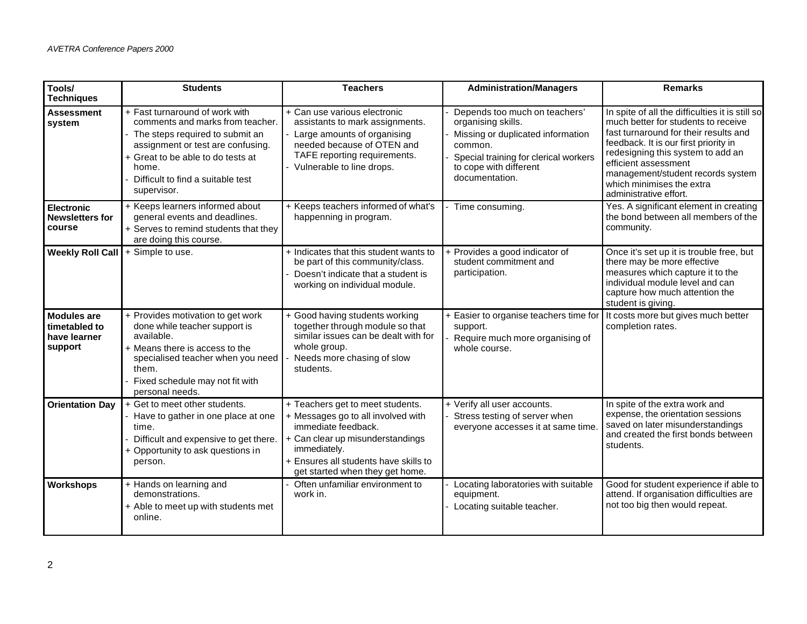| Tools/<br><b>Techniques</b>                                    | <b>Students</b>                                                                                                                                                                                                                                | <b>Teachers</b>                                                                                                                                                                                                               | <b>Administration/Managers</b>                                                                                                                                                           | <b>Remarks</b>                                                                                                                                                                                                                                                                                                                    |
|----------------------------------------------------------------|------------------------------------------------------------------------------------------------------------------------------------------------------------------------------------------------------------------------------------------------|-------------------------------------------------------------------------------------------------------------------------------------------------------------------------------------------------------------------------------|------------------------------------------------------------------------------------------------------------------------------------------------------------------------------------------|-----------------------------------------------------------------------------------------------------------------------------------------------------------------------------------------------------------------------------------------------------------------------------------------------------------------------------------|
| <b>Assessment</b><br>system                                    | + Fast turnaround of work with<br>comments and marks from teacher.<br>- The steps required to submit an<br>assignment or test are confusing.<br>+ Great to be able to do tests at<br>home.<br>Difficult to find a suitable test<br>supervisor. | + Can use various electronic<br>assistants to mark assignments.<br>- Large amounts of organising<br>needed because of OTEN and<br>TAFE reporting requirements.<br>- Vulnerable to line drops.                                 | Depends too much on teachers'<br>organising skills.<br>Missing or duplicated information<br>common.<br>Special training for clerical workers<br>to cope with different<br>documentation. | In spite of all the difficulties it is still so<br>much better for students to receive<br>fast turnaround for their results and<br>feedback. It is our first priority in<br>redesigning this system to add an<br>efficient assessment<br>management/student records system<br>which minimises the extra<br>administrative effort. |
| <b>Electronic</b><br><b>Newsletters for</b><br>course          | + Keeps learners informed about<br>general events and deadlines.<br>+ Serves to remind students that they<br>are doing this course.                                                                                                            | + Keeps teachers informed of what's<br>happenning in program.                                                                                                                                                                 | Time consuming.                                                                                                                                                                          | Yes. A significant element in creating<br>the bond between all members of the<br>community.                                                                                                                                                                                                                                       |
| <b>Weekly Roll Call</b>                                        | + Simple to use.                                                                                                                                                                                                                               | + Indicates that this student wants to<br>be part of this community/class.<br>- Doesn't indicate that a student is<br>working on individual module.                                                                           | + Provides a good indicator of<br>student commitment and<br>participation.                                                                                                               | Once it's set up it is trouble free, but<br>there may be more effective<br>measures which capture it to the<br>individual module level and can<br>capture how much attention the<br>student is giving.                                                                                                                            |
| <b>Modules are</b><br>timetabled to<br>have learner<br>support | + Provides motivation to get work<br>done while teacher support is<br>available.<br>+ Means there is access to the<br>specialised teacher when you need<br>them.<br>Fixed schedule may not fit with<br>personal needs.                         | + Good having students working<br>together through module so that<br>similar issues can be dealt with for<br>whole group.<br>Needs more chasing of slow<br>students.                                                          | + Easier to organise teachers time for<br>support.<br>Require much more organising of<br>whole course.                                                                                   | It costs more but gives much better<br>completion rates.                                                                                                                                                                                                                                                                          |
| <b>Orientation Day</b>                                         | + Get to meet other students.<br>- Have to gather in one place at one<br>time.<br>Difficult and expensive to get there.<br>+ Opportunity to ask questions in<br>person.                                                                        | + Teachers get to meet students.<br>+ Messages go to all involved with<br>immediate feedback.<br>+ Can clear up misunderstandings<br>immediately.<br>+ Ensures all students have skills to<br>get started when they get home. | + Verify all user accounts.<br>Stress testing of server when<br>everyone accesses it at same time.                                                                                       | In spite of the extra work and<br>expense, the orientation sessions<br>saved on later misunderstandings<br>and created the first bonds between<br>students.                                                                                                                                                                       |
| <b>Workshops</b>                                               | + Hands on learning and<br>demonstrations.<br>+ Able to meet up with students met<br>online.                                                                                                                                                   | Often unfamiliar environment to<br>work in.                                                                                                                                                                                   | Locating laboratories with suitable<br>equipment.<br>Locating suitable teacher.                                                                                                          | Good for student experience if able to<br>attend. If organisation difficulties are<br>not too big then would repeat.                                                                                                                                                                                                              |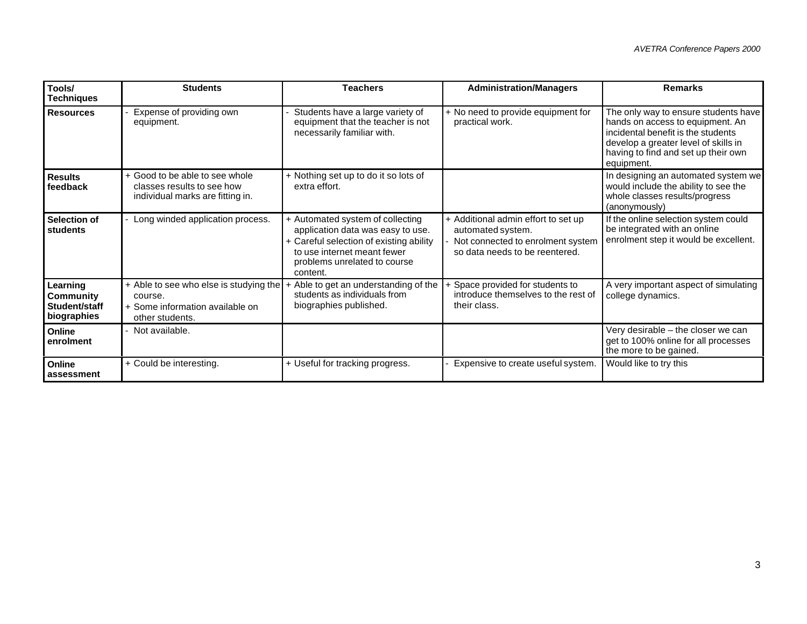| Tools/<br><b>Techniques</b>                           | <b>Students</b>                                                                                         | <b>Teachers</b>                                                                                                                                                                             | <b>Administration/Managers</b>                                                                                                  | <b>Remarks</b>                                                                                                                                                                                              |
|-------------------------------------------------------|---------------------------------------------------------------------------------------------------------|---------------------------------------------------------------------------------------------------------------------------------------------------------------------------------------------|---------------------------------------------------------------------------------------------------------------------------------|-------------------------------------------------------------------------------------------------------------------------------------------------------------------------------------------------------------|
| <b>Resources</b>                                      | Expense of providing own<br>equipment.                                                                  | Students have a large variety of<br>equipment that the teacher is not<br>necessarily familiar with.                                                                                         | + No need to provide equipment for<br>practical work.                                                                           | The only way to ensure students have<br>hands on access to equipment. An<br>incidental benefit is the students<br>develop a greater level of skills in<br>having to find and set up their own<br>equipment. |
| <b>Results</b><br>feedback                            | + Good to be able to see whole<br>classes results to see how<br>individual marks are fitting in.        | + Nothing set up to do it so lots of<br>extra effort.                                                                                                                                       |                                                                                                                                 | In designing an automated system we<br>would include the ability to see the<br>whole classes results/progress<br>(anonymously)                                                                              |
| Selection of<br>students                              | Long winded application process.                                                                        | + Automated system of collecting<br>application data was easy to use.<br>+ Careful selection of existing ability<br>to use internet meant fewer<br>problems unrelated to course<br>content. | + Additional admin effort to set up<br>automated system.<br>Not connected to enrolment system<br>so data needs to be reentered. | If the online selection system could<br>be integrated with an online<br>enrolment step it would be excellent.                                                                                               |
| Learning<br>Community<br>Student/staff<br>biographies | + Able to see who else is studying the<br>course.<br>+ Some information available on<br>other students. | Able to get an understanding of the<br>students as individuals from<br>biographies published.                                                                                               | Space provided for students to<br>introduce themselves to the rest of<br>their class.                                           | A very important aspect of simulating<br>college dynamics.                                                                                                                                                  |
| Online<br>enrolment                                   | - Not available.                                                                                        |                                                                                                                                                                                             |                                                                                                                                 | Very desirable – the closer we can<br>get to 100% online for all processes<br>the more to be gained.                                                                                                        |
| Online<br>assessment                                  | + Could be interesting.                                                                                 | + Useful for tracking progress.                                                                                                                                                             | Expensive to create useful system.                                                                                              | Would like to try this                                                                                                                                                                                      |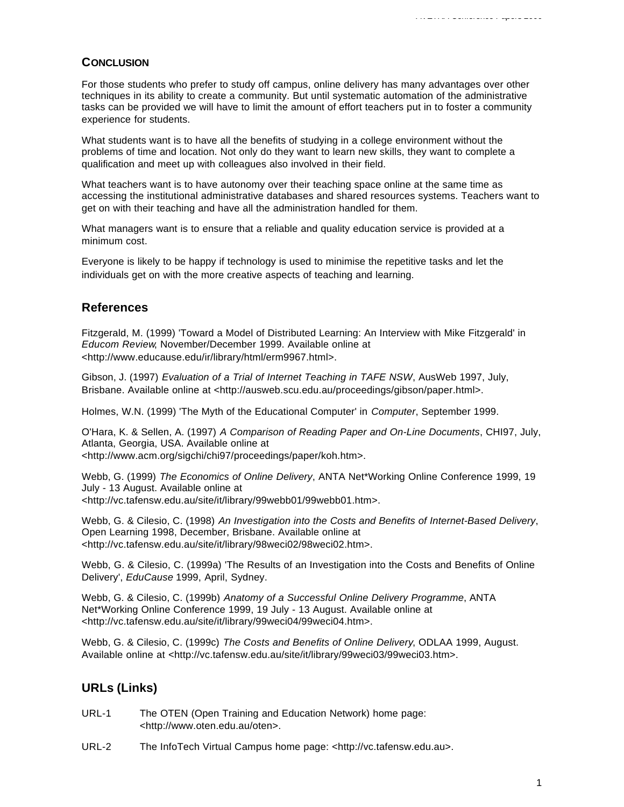# **CONCLUSION**

For those students who prefer to study off campus, online delivery has many advantages over other techniques in its ability to create a community. But until systematic automation of the administrative tasks can be provided we will have to limit the amount of effort teachers put in to foster a community experience for students.

What students want is to have all the benefits of studying in a college environment without the problems of time and location. Not only do they want to learn new skills, they want to complete a qualification and meet up with colleagues also involved in their field.

What teachers want is to have autonomy over their teaching space online at the same time as accessing the institutional administrative databases and shared resources systems. Teachers want to get on with their teaching and have all the administration handled for them.

What managers want is to ensure that a reliable and quality education service is provided at a minimum cost.

Everyone is likely to be happy if technology is used to minimise the repetitive tasks and let the individuals get on with the more creative aspects of teaching and learning.

# **References**

Fitzgerald, M. (1999) 'Toward a Model of Distributed Learning: An Interview with Mike Fitzgerald' in *Educom Review*, November/December 1999. Available online at <http://www.educause.edu/ir/library/html/erm9967.html>.

Gibson, J. (1997) *Evaluation of a Trial of Internet Teaching in TAFE NSW*, AusWeb 1997, July, Brisbane. Available online at <http://ausweb.scu.edu.au/proceedings/gibson/paper.html>.

Holmes, W.N. (1999) 'The Myth of the Educational Computer' in *Computer*, September 1999.

O'Hara, K. & Sellen, A. (1997) *A Comparison of Reading Paper and On-Line Documents*, CHI97, July, Atlanta, Georgia, USA. Available online at <http://www.acm.org/sigchi/chi97/proceedings/paper/koh.htm>.

Webb, G. (1999) *The Economics of Online Delivery*, ANTA Net\*Working Online Conference 1999, 19 July - 13 August. Available online at <http://vc.tafensw.edu.au/site/it/library/99webb01/99webb01.htm>.

Webb, G. & Cilesio, C. (1998) *An Investigation into the Costs and Benefits of Internet-Based Delivery*, Open Learning 1998, December, Brisbane. Available online at <http://vc.tafensw.edu.au/site/it/library/98weci02/98weci02.htm>.

Webb, G. & Cilesio, C. (1999a) 'The Results of an Investigation into the Costs and Benefits of Online Delivery', *EduCause* 1999, April, Sydney.

Webb, G. & Cilesio, C. (1999b) *Anatomy of a Successful Online Delivery Programme*, ANTA Net\*Working Online Conference 1999, 19 July - 13 August. Available online at <http://vc.tafensw.edu.au/site/it/library/99weci04/99weci04.htm>.

Webb, G. & Cilesio, C. (1999c) *The Costs and Benefits of Online Delivery*, ODLAA 1999, August. Available online at <http://vc.tafensw.edu.au/site/it/library/99weci03/99weci03.htm>.

# **URLs (Links)**

- URL-1 The OTEN (Open Training and Education Network) home page: <http://www.oten.edu.au/oten>.
- URL-2 The InfoTech Virtual Campus home page: <http://vc.tafensw.edu.au>.